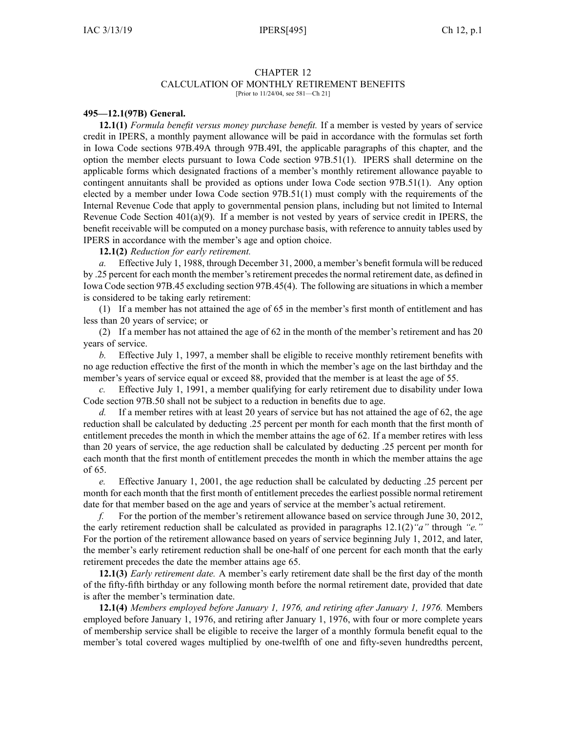# CHAPTER 12

# CALCULATION OF MONTHLY RETIREMENT BENEFITS

[Prior to 11/24/04, see 581—Ch 21]

### **495—12.1(97B) General.**

**12.1(1)** *Formula benefit versus money purchase benefit.* If <sup>a</sup> member is vested by years of service credit in IPERS, <sup>a</sup> monthly paymen<sup>t</sup> allowance will be paid in accordance with the formulas set forth in Iowa Code sections 97B.49A through [97B.49I](https://www.legis.iowa.gov/docs/ico/section/2017/97B.49A-49I.pdf), the applicable paragraphs of this chapter, and the option the member elects pursuan<sup>t</sup> to Iowa Code section [97B.51\(1\)](https://www.legis.iowa.gov/docs/ico/section/2017/97B.51.pdf). IPERS shall determine on the applicable forms which designated fractions of <sup>a</sup> member's monthly retirement allowance payable to contingent annuitants shall be provided as options under Iowa Code section [97B.51\(1\)](https://www.legis.iowa.gov/docs/ico/section/2017/97B.51.pdf). Any option elected by <sup>a</sup> member under Iowa Code section [97B.51\(1\)](https://www.legis.iowa.gov/docs/ico/section/2017/97B.51.pdf) must comply with the requirements of the Internal Revenue Code that apply to governmental pension plans, including but not limited to Internal Revenue Code Section  $401(a)(9)$ . If a member is not vested by years of service credit in IPERS, the benefit receivable will be computed on <sup>a</sup> money purchase basis, with reference to annuity tables used by IPERS in accordance with the member's age and option choice.

**12.1(2)** *Reduction for early retirement.*

*a.* Effective July 1, 1988, through December 31, 2000, <sup>a</sup> member's benefit formula will be reduced by .25 percent for each month the member's retirement precedes the normal retirement date, as defined in Iowa Code section [97B.45](https://www.legis.iowa.gov/docs/ico/section/97B.45.pdf) excluding section [97B.45\(4\)](https://www.legis.iowa.gov/docs/ico/section/97B.45.pdf). The following are situations in which <sup>a</sup> member is considered to be taking early retirement:

(1) If <sup>a</sup> member has not attained the age of 65 in the member's first month of entitlement and has less than 20 years of service; or

(2) If <sup>a</sup> member has not attained the age of 62 in the month of the member's retirement and has 20 years of service.

*b.* Effective July 1, 1997, <sup>a</sup> member shall be eligible to receive monthly retirement benefits with no age reduction effective the first of the month in which the member's age on the last birthday and the member's years of service equal or exceed 88, provided that the member is at least the age of 55.

*c.* Effective July 1, 1991, <sup>a</sup> member qualifying for early retirement due to disability under Iowa Code section [97B.50](https://www.legis.iowa.gov/docs/ico/section/97B.50.pdf) shall not be subject to <sup>a</sup> reduction in benefits due to age.

*d.* If <sup>a</sup> member retires with at least 20 years of service but has not attained the age of 62, the age reduction shall be calculated by deducting .25 percen<sup>t</sup> per month for each month that the first month of entitlement precedes the month in which the member attains the age of 62. If <sup>a</sup> member retires with less than 20 years of service, the age reduction shall be calculated by deducting .25 percen<sup>t</sup> per month for each month that the first month of entitlement precedes the month in which the member attains the age of 65.

*e.* Effective January 1, 2001, the age reduction shall be calculated by deducting .25 percen<sup>t</sup> per month for each month that the first month of entitlement precedes the earliest possible normal retirement date for that member based on the age and years of service at the member's actual retirement.

*f.* For the portion of the member's retirement allowance based on service through June 30, 2012, the early retirement reduction shall be calculated as provided in paragraphs 12.1(2)*"a"* [through](https://www.legis.iowa.gov/docs/iac/rule/495.12.1.pdf) *"e."* For the portion of the retirement allowance based on years of service beginning July 1, 2012, and later, the member's early retirement reduction shall be one-half of one percen<sup>t</sup> for each month that the early retirement precedes the date the member attains age 65.

**12.1(3)** *Early retirement date.* A member's early retirement date shall be the first day of the month of the fifty-fifth birthday or any following month before the normal retirement date, provided that date is after the member's termination date.

**12.1(4)** *Members employed before January 1, 1976, and retiring after January 1, 1976.* Members employed before January 1, 1976, and retiring after January 1, 1976, with four or more complete years of membership service shall be eligible to receive the larger of <sup>a</sup> monthly formula benefit equal to the member's total covered wages multiplied by one-twelfth of one and fifty-seven hundredths percent,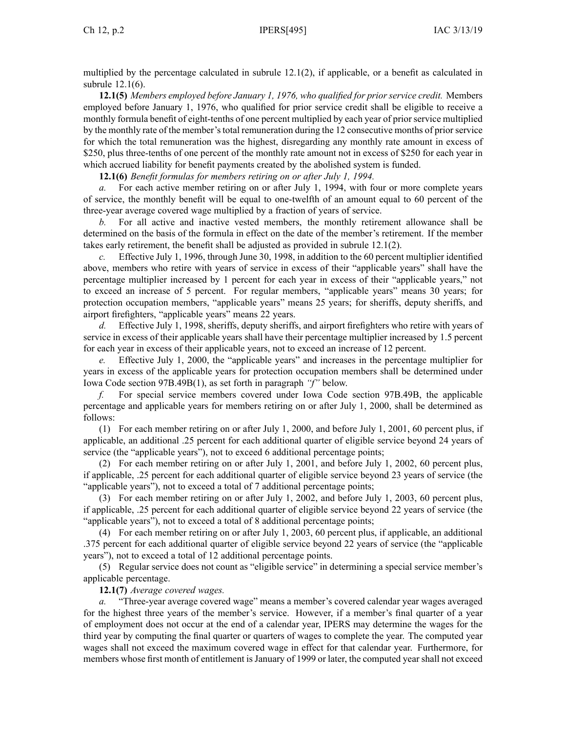multiplied by the percentage calculated in subrule [12.1\(2\)](https://www.legis.iowa.gov/docs/iac/rule/495.12.1.pdf), if applicable, or <sup>a</sup> benefit as calculated in subrule [12.1\(6\)](https://www.legis.iowa.gov/docs/iac/rule/495.12.1.pdf).

**12.1(5)** *Members employed before January 1, 1976, who qualified for prior service credit.* Members employed before January 1, 1976, who qualified for prior service credit shall be eligible to receive <sup>a</sup> monthly formula benefit of eight-tenths of one percen<sup>t</sup> multiplied by each year of priorservice multiplied by the monthly rate of the member's total remuneration during the 12 consecutive months of prior service for which the total remuneration was the highest, disregarding any monthly rate amount in excess of \$250, plus three-tenths of one percent of the monthly rate amount not in excess of \$250 for each year in which accrued liability for benefit payments created by the abolished system is funded.

**12.1(6)** *Benefit formulas for members retiring on or after July 1, 1994.*

*a.* For each active member retiring on or after July 1, 1994, with four or more complete years of service, the monthly benefit will be equal to one-twelfth of an amount equal to 60 percen<sup>t</sup> of the three-year average covered wage multiplied by <sup>a</sup> fraction of years of service.

*b.* For all active and inactive vested members, the monthly retirement allowance shall be determined on the basis of the formula in effect on the date of the member's retirement. If the member takes early retirement, the benefit shall be adjusted as provided in subrule [12.1\(2\)](https://www.legis.iowa.gov/docs/iac/rule/495.12.1.pdf).

*c.* Effective July 1, 1996, through June 30, 1998, in addition to the 60 percen<sup>t</sup> multiplier identified above, members who retire with years of service in excess of their "applicable years" shall have the percentage multiplier increased by 1 percen<sup>t</sup> for each year in excess of their "applicable years," not to exceed an increase of 5 percent. For regular members, "applicable years" means 30 years; for protection occupation members, "applicable years" means 25 years; for sheriffs, deputy sheriffs, and airport firefighters, "applicable years" means 22 years.

*d.* Effective July 1, 1998, sheriffs, deputy sheriffs, and airport firefighters who retire with years of service in excess of their applicable years shall have their percentage multiplier increased by 1.5 percen<sup>t</sup> for each year in excess of their applicable years, not to exceed an increase of 12 percent.

*e.* Effective July 1, 2000, the "applicable years" and increases in the percentage multiplier for years in excess of the applicable years for protection occupation members shall be determined under Iowa Code section [97B.49B\(1\)](https://www.legis.iowa.gov/docs/ico/section/97B.49B.pdf), as set forth in paragraph *"f"* below.

*f.* For special service members covered under Iowa Code section [97B.49B](https://www.legis.iowa.gov/docs/ico/section/97B.49B.pdf), the applicable percentage and applicable years for members retiring on or after July 1, 2000, shall be determined as follows:

(1) For each member retiring on or after July 1, 2000, and before July 1, 2001, 60 percen<sup>t</sup> plus, if applicable, an additional .25 percen<sup>t</sup> for each additional quarter of eligible service beyond 24 years of service (the "applicable years"), not to exceed 6 additional percentage points;

(2) For each member retiring on or after July 1, 2001, and before July 1, 2002, 60 percen<sup>t</sup> plus, if applicable, .25 percen<sup>t</sup> for each additional quarter of eligible service beyond 23 years of service (the "applicable years"), not to exceed <sup>a</sup> total of 7 additional percentage points;

(3) For each member retiring on or after July 1, 2002, and before July 1, 2003, 60 percen<sup>t</sup> plus, if applicable, .25 percen<sup>t</sup> for each additional quarter of eligible service beyond 22 years of service (the "applicable years"), not to exceed <sup>a</sup> total of 8 additional percentage points;

(4) For each member retiring on or after July 1, 2003, 60 percen<sup>t</sup> plus, if applicable, an additional .375 percen<sup>t</sup> for each additional quarter of eligible service beyond 22 years of service (the "applicable years"), not to exceed <sup>a</sup> total of 12 additional percentage points.

(5) Regular service does not count as "eligible service" in determining <sup>a</sup> special service member's applicable percentage.

**12.1(7)** *Average covered wages.*

"Three-year average covered wage" means a member's covered calendar year wages averaged for the highest three years of the member's service. However, if <sup>a</sup> member's final quarter of <sup>a</sup> year of employment does not occur at the end of <sup>a</sup> calendar year, IPERS may determine the wages for the third year by computing the final quarter or quarters of wages to complete the year. The computed year wages shall not exceed the maximum covered wage in effect for that calendar year. Furthermore, for members whose first month of entitlement is January of 1999 or later, the computed year shall not exceed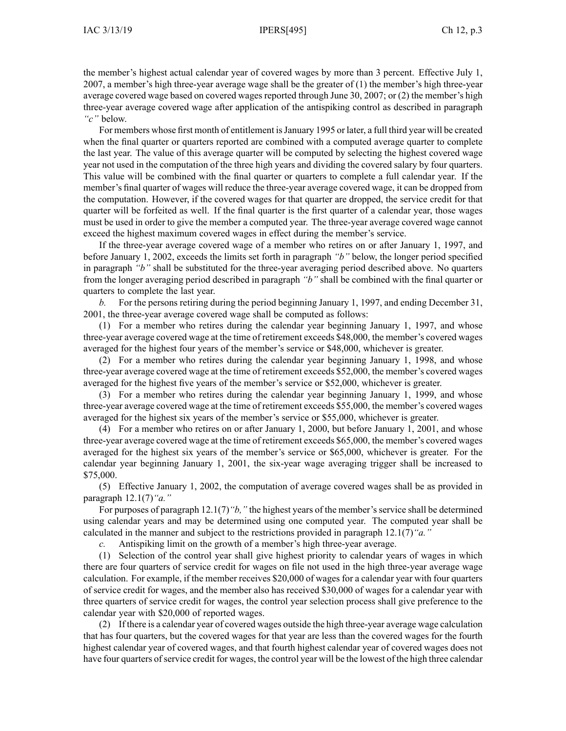the member's highest actual calendar year of covered wages by more than 3 percent. Effective July 1, 2007, <sup>a</sup> member's high three-year average wage shall be the greater of (1) the member's high three-year average covered wage based on covered wages reported through June 30, 2007; or (2) the member's high three-year average covered wage after application of the antispiking control as described in paragraph *"c"* below.

For members whose first month of entitlement is January 1995 or later, a full third year will be created when the final quarter or quarters reported are combined with <sup>a</sup> computed average quarter to complete the last year. The value of this average quarter will be computed by selecting the highest covered wage year not used in the computation of the three high years and dividing the covered salary by four quarters. This value will be combined with the final quarter or quarters to complete <sup>a</sup> full calendar year. If the member's final quarter of wages will reduce the three-year average covered wage, it can be dropped from the computation. However, if the covered wages for that quarter are dropped, the service credit for that quarter will be forfeited as well. If the final quarter is the first quarter of <sup>a</sup> calendar year, those wages must be used in order to give the member <sup>a</sup> computed year. The three-year average covered wage cannot exceed the highest maximum covered wages in effect during the member's service.

If the three-year average covered wage of <sup>a</sup> member who retires on or after January 1, 1997, and before January 1, 2002, exceeds the limits set forth in paragraph *"b"* below, the longer period specified in paragraph *"b"* shall be substituted for the three-year averaging period described above. No quarters from the longer averaging period described in paragraph *"b"* shall be combined with the final quarter or quarters to complete the last year.

*b.* For the persons retiring during the period beginning January 1, 1997, and ending December 31, 2001, the three-year average covered wage shall be computed as follows:

(1) For <sup>a</sup> member who retires during the calendar year beginning January 1, 1997, and whose three-year average covered wage at the time of retirement exceeds \$48,000, the member's covered wages averaged for the highest four years of the member's service or \$48,000, whichever is greater.

(2) For <sup>a</sup> member who retires during the calendar year beginning January 1, 1998, and whose three-year average covered wage at the time of retirement exceeds \$52,000, the member's covered wages averaged for the highest five years of the member's service or \$52,000, whichever is greater.

(3) For <sup>a</sup> member who retires during the calendar year beginning January 1, 1999, and whose three-year average covered wage at the time of retirement exceeds \$55,000, the member's covered wages averaged for the highest six years of the member's service or \$55,000, whichever is greater.

(4) For <sup>a</sup> member who retires on or after January 1, 2000, but before January 1, 2001, and whose three-year average covered wage at the time of retirement exceeds \$65,000, the member's covered wages averaged for the highest six years of the member's service or \$65,000, whichever is greater. For the calendar year beginning January 1, 2001, the six-year wage averaging trigger shall be increased to \$75,000.

(5) Effective January 1, 2002, the computation of average covered wages shall be as provided in paragraph [12.1\(7\)](https://www.legis.iowa.gov/docs/iac/rule/495.12.1.pdf)*"a."*

For purposes of paragraph [12.1\(7\)](https://www.legis.iowa.gov/docs/iac/rule/495.12.1.pdf)*"b,"* the highest years of the member'sservice shall be determined using calendar years and may be determined using one computed year. The computed year shall be calculated in the manner and subject to the restrictions provided in paragraph [12.1\(7\)](https://www.legis.iowa.gov/docs/iac/rule/495.12.1.pdf)*"a."*

*c.* Antispiking limit on the growth of <sup>a</sup> member's high three-year average.

(1) Selection of the control year shall give highest priority to calendar years of wages in which there are four quarters of service credit for wages on file not used in the high three-year average wage calculation. For example, if the member receives \$20,000 of wages for <sup>a</sup> calendar year with four quarters of service credit for wages, and the member also has received \$30,000 of wages for <sup>a</sup> calendar year with three quarters of service credit for wages, the control year selection process shall give preference to the calendar year with \$20,000 of reported wages.

(2) If there is <sup>a</sup> calendar year of covered wages outside the high three-year average wage calculation that has four quarters, but the covered wages for that year are less than the covered wages for the fourth highest calendar year of covered wages, and that fourth highest calendar year of covered wages does not have four quarters ofservice credit for wages, the control year will be the lowest of the high three calendar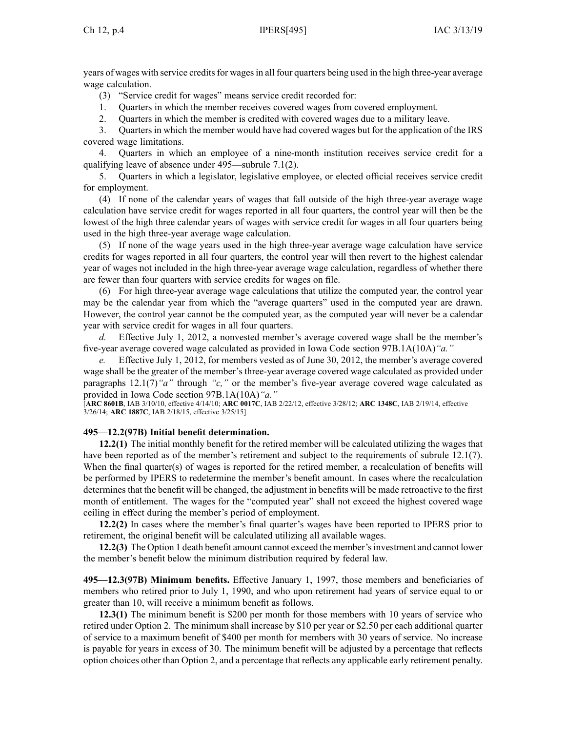years of wages with service credits for wages in all four quarters being used in the high three-year average wage calculation.

(3) "Service credit for wages" means service credit recorded for:

- 1. Quarters in which the member receives covered wages from covered employment.
- 2. Quarters in which the member is credited with covered wages due to <sup>a</sup> military leave.

3. Quarters in which the member would have had covered wages but for the application of the IRS covered wage limitations.

4. Quarters in which an employee of <sup>a</sup> nine-month institution receives service credit for <sup>a</sup> qualifying leave of absence under 495—subrule 7.1(2).

5. Quarters in which <sup>a</sup> legislator, legislative employee, or elected official receives service credit for employment.

(4) If none of the calendar years of wages that fall outside of the high three-year average wage calculation have service credit for wages reported in all four quarters, the control year will then be the lowest of the high three calendar years of wages with service credit for wages in all four quarters being used in the high three-year average wage calculation.

(5) If none of the wage years used in the high three-year average wage calculation have service credits for wages reported in all four quarters, the control year will then revert to the highest calendar year of wages not included in the high three-year average wage calculation, regardless of whether there are fewer than four quarters with service credits for wages on file.

(6) For high three-year average wage calculations that utilize the computed year, the control year may be the calendar year from which the "average quarters" used in the computed year are drawn. However, the control year cannot be the computed year, as the computed year will never be <sup>a</sup> calendar year with service credit for wages in all four quarters.

*d.* Effective July 1, 2012, <sup>a</sup> nonvested member's average covered wage shall be the member's five-year average covered wage calculated as provided in Iowa Code section [97B.1A](https://www.legis.iowa.gov/docs/ico/section/97B.1A.pdf)(10A)*"a."*

*e.* Effective July 1, 2012, for members vested as of June 30, 2012, the member's average covered wage shall be the greater of the member's three-year average covered wage calculated as provided under paragraphs 12.1(7)*"a"* [through](https://www.legis.iowa.gov/docs/iac/rule/495.12.1.pdf) *"c,"* or the member's five-year average covered wage calculated as provided in Iowa Code section [97B.1A](https://www.legis.iowa.gov/docs/ico/section/97B.1A.pdf)(10A)*"a."*

[**ARC [8601B](https://www.legis.iowa.gov/docs/aco/arc/8601B.pdf)**, IAB 3/10/10, effective 4/14/10; **ARC [0017C](https://www.legis.iowa.gov/docs/aco/arc/0017C.pdf)**, IAB 2/22/12, effective 3/28/12; **ARC [1348C](https://www.legis.iowa.gov/docs/aco/arc/1348C.pdf)**, IAB 2/19/14, effective 3/26/14; **ARC [1887C](https://www.legis.iowa.gov/docs/aco/arc/1887C.pdf)**, IAB 2/18/15, effective 3/25/15]

## **495—12.2(97B) Initial benefit determination.**

**12.2(1)** The initial monthly benefit for the retired member will be calculated utilizing the wages that have been reported as of the member's retirement and subject to the requirements of subrule [12.1\(7\)](https://www.legis.iowa.gov/docs/iac/rule/495.12.1.pdf). When the final quarter(s) of wages is reported for the retired member, <sup>a</sup> recalculation of benefits will be performed by IPERS to redetermine the member's benefit amount. In cases where the recalculation determines that the benefit will be changed, the adjustment in benefits will be made retroactive to the first month of entitlement. The wages for the "computed year" shall not exceed the highest covered wage ceiling in effect during the member's period of employment.

**12.2(2)** In cases where the member's final quarter's wages have been reported to IPERS prior to retirement, the original benefit will be calculated utilizing all available wages.

**12.2(3)** The Option 1 death benefit amount cannot exceed the member'sinvestment and cannot lower the member's benefit below the minimum distribution required by federal law.

**495—12.3(97B) Minimum benefits.** Effective January 1, 1997, those members and beneficiaries of members who retired prior to July 1, 1990, and who upon retirement had years of service equal to or greater than 10, will receive <sup>a</sup> minimum benefit as follows.

**12.3(1)** The minimum benefit is \$200 per month for those members with 10 years of service who retired under Option 2. The minimum shall increase by \$10 per year or \$2.50 per each additional quarter of service to <sup>a</sup> maximum benefit of \$400 per month for members with 30 years of service. No increase is payable for years in excess of 30. The minimum benefit will be adjusted by <sup>a</sup> percentage that reflects option choices other than Option 2, and <sup>a</sup> percentage that reflects any applicable early retirement penalty.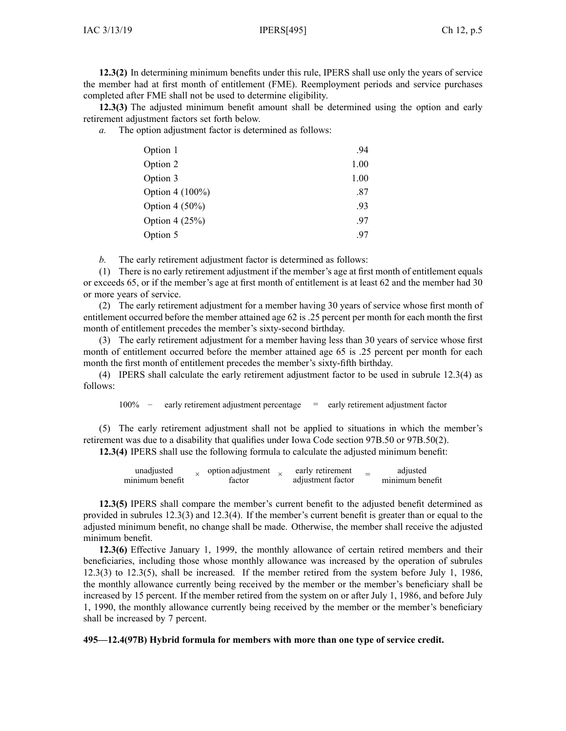**12.3(2)** In determining minimum benefits under this rule, IPERS shall use only the years of service the member had at first month of entitlement (FME). Reemployment periods and service purchases completed after FME shall not be used to determine eligibility.

**12.3(3)** The adjusted minimum benefit amount shall be determined using the option and early retirement adjustment factors set forth below.

*a.* The option adjustment factor is determined as follows:

| Option 1        | .94  |
|-----------------|------|
| Option 2        | 1.00 |
| Option 3        | 1.00 |
| Option 4 (100%) | .87  |
| Option 4 (50%)  | .93  |
| Option 4 (25%)  | .97  |
| Option 5        | .97  |

*b.* The early retirement adjustment factor is determined as follows:

(1) There is no early retirement adjustment if the member's age at first month of entitlement equals or exceeds 65, or if the member's age at first month of entitlement is at least 62 and the member had 30 or more years of service.

(2) The early retirement adjustment for <sup>a</sup> member having 30 years of service whose first month of entitlement occurred before the member attained age 62 is .25 percen<sup>t</sup> per month for each month the first month of entitlement precedes the member's sixty-second birthday.

(3) The early retirement adjustment for <sup>a</sup> member having less than 30 years of service whose first month of entitlement occurred before the member attained age 65 is .25 percent per month for each month the first month of entitlement precedes the member's sixty-fifth birthday.

(4) IPERS shall calculate the early retirement adjustment factor to be used in subrule [12.3\(4\)](https://www.legis.iowa.gov/docs/iac/rule/495.12.3.pdf) as follows:

100% – early retirement adjustment percentage <sup>=</sup> early retirement adjustment factor

(5) The early retirement adjustment shall not be applied to situations in which the member's retirement was due to <sup>a</sup> disability that qualifies under Iowa Code section [97B.50](https://www.legis.iowa.gov/docs/ico/section/97B.50.pdf) or [97B.50\(2\)](https://www.legis.iowa.gov/docs/ico/section/97B.50.pdf).

**12.3(4)** IPERS shall use the following formula to calculate the adjusted minimum benefit:

| unadiusted      |  | option adjustment |  | early retirement  |  | adjusted        |
|-----------------|--|-------------------|--|-------------------|--|-----------------|
| minimum benefit |  | factor            |  | adjustment factor |  | minimum benefit |

**12.3(5)** IPERS shall compare the member's current benefit to the adjusted benefit determined as provided in subrules [12.3\(3\)](https://www.legis.iowa.gov/docs/iac/rule/495.12.3.pdf) and [12.3\(4\)](https://www.legis.iowa.gov/docs/iac/rule/495.12.3.pdf). If the member's current benefit is greater than or equal to the adjusted minimum benefit, no change shall be made. Otherwise, the member shall receive the adjusted minimum benefit.

**12.3(6)** Effective January 1, 1999, the monthly allowance of certain retired members and their beneficiaries, including those whose monthly allowance was increased by the operation of subrules [12.3\(3\)](https://www.legis.iowa.gov/docs/iac/rule/495.12.3.pdf) to [12.3\(5\)](https://www.legis.iowa.gov/docs/iac/rule/495.12.3.pdf), shall be increased. If the member retired from the system before July 1, 1986, the monthly allowance currently being received by the member or the member's beneficiary shall be increased by 15 percent. If the member retired from the system on or after July 1, 1986, and before July 1, 1990, the monthly allowance currently being received by the member or the member's beneficiary shall be increased by 7 percent.

**495—12.4(97B) Hybrid formula for members with more than one type of service credit.**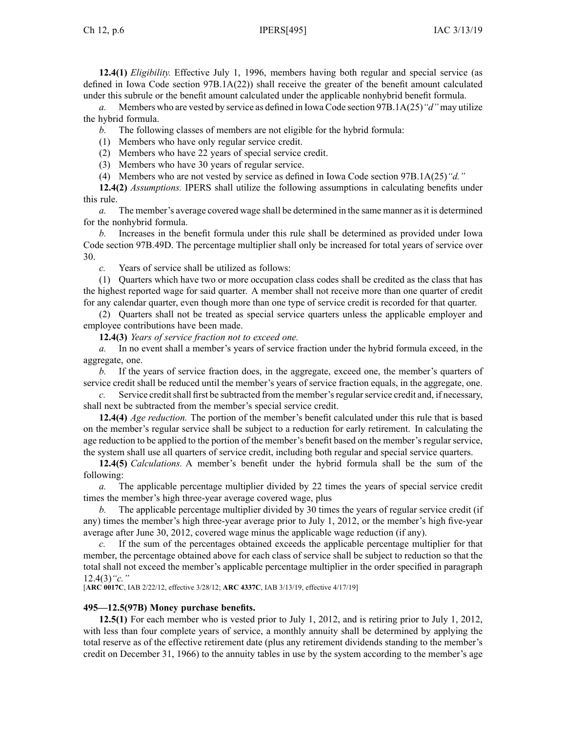**12.4(1)** *Eligibility.* Effective July 1, 1996, members having both regular and special service (as defined in Iowa Code section [97B.1A\(22\)](https://www.legis.iowa.gov/docs/ico/section/97B.1A.pdf)) shall receive the greater of the benefit amount calculated under this subrule or the benefit amount calculated under the applicable nonhybrid benefit formula.

*a.* Members who are vested by service as defined in Iowa Code section [97B.1A\(25\)](https://www.legis.iowa.gov/docs/ico/section/97B.1A.pdf)*"d"* may utilize the hybrid formula.

*b.* The following classes of members are not eligible for the hybrid formula:

(1) Members who have only regular service credit.

(2) Members who have 22 years of special service credit.

(3) Members who have 30 years of regular service.

(4) Members who are not vested by service as defined in Iowa Code section [97B.1A\(25\)](https://www.legis.iowa.gov/docs/ico/section/97B.1A.pdf)*"d."*

**12.4(2)** *Assumptions.* IPERS shall utilize the following assumptions in calculating benefits under this rule.

*a.* The member's average covered wage shall be determined in the same manner asit is determined for the nonhybrid formula.

*b.* Increases in the benefit formula under this rule shall be determined as provided under Iowa Code section [97B.49D](https://www.legis.iowa.gov/docs/ico/section/97B.49D.pdf). The percentage multiplier shall only be increased for total years of service over 30.

*c.* Years of service shall be utilized as follows:

(1) Quarters which have two or more occupation class codes shall be credited as the class that has the highest reported wage for said quarter. A member shall not receive more than one quarter of credit for any calendar quarter, even though more than one type of service credit is recorded for that quarter.

(2) Quarters shall not be treated as special service quarters unless the applicable employer and employee contributions have been made.

**12.4(3)** *Years of service fraction not to exceed one.*

*a.* In no event shall <sup>a</sup> member's years of service fraction under the hybrid formula exceed, in the aggregate, one.

*b.* If the years of service fraction does, in the aggregate, exceed one, the member's quarters of service credit shall be reduced until the member's years of service fraction equals, in the aggregate, one.

*c.* Service credit shall first be subtracted from the member's regular service credit and, if necessary, shall next be subtracted from the member's special service credit.

**12.4(4)** *Age reduction.* The portion of the member's benefit calculated under this rule that is based on the member's regular service shall be subject to <sup>a</sup> reduction for early retirement. In calculating the age reduction to be applied to the portion of the member's benefit based on the member's regular service, the system shall use all quarters of service credit, including both regular and special service quarters.

**12.4(5)** *Calculations.* A member's benefit under the hybrid formula shall be the sum of the following:

*a.* The applicable percentage multiplier divided by 22 times the years of special service credit times the member's high three-year average covered wage, plus

*b.* The applicable percentage multiplier divided by 30 times the years of regular service credit (if any) times the member's high three-year average prior to July 1, 2012, or the member's high five-year average after June 30, 2012, covered wage minus the applicable wage reduction (if any).

*c.* If the sum of the percentages obtained exceeds the applicable percentage multiplier for that member, the percentage obtained above for each class of service shall be subject to reduction so that the total shall not exceed the member's applicable percentage multiplier in the order specified in paragraph 12.4(3)*"c."*

[**ARC [0017C](https://www.legis.iowa.gov/docs/aco/arc/0017C.pdf)**, IAB 2/22/12, effective 3/28/12; **ARC [4337C](https://www.legis.iowa.gov/docs/aco/arc/4337C.pdf)**, IAB 3/13/19, effective 4/17/19]

## **495—12.5(97B) Money purchase benefits.**

**12.5(1)** For each member who is vested prior to July 1, 2012, and is retiring prior to July 1, 2012, with less than four complete years of service, <sup>a</sup> monthly annuity shall be determined by applying the total reserve as of the effective retirement date (plus any retirement dividends standing to the member's credit on December 31, 1966) to the annuity tables in use by the system according to the member's age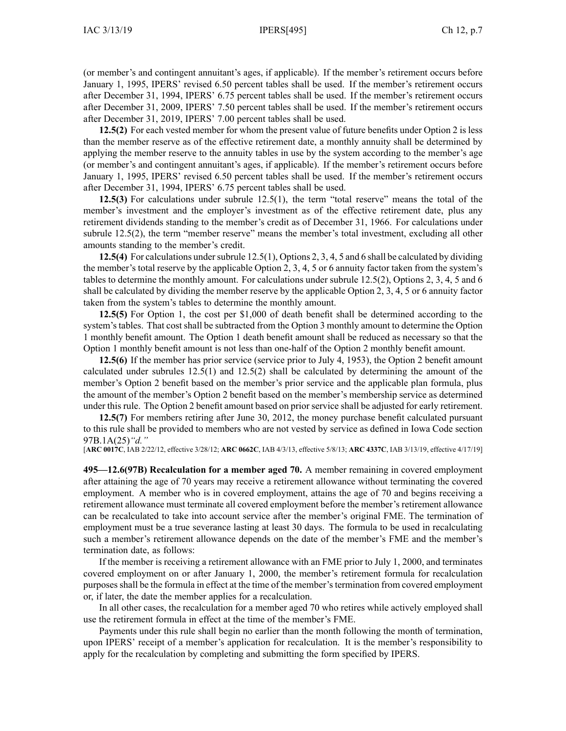(or member's and contingent annuitant's ages, if applicable). If the member's retirement occurs before January 1, 1995, IPERS' revised 6.50 percen<sup>t</sup> tables shall be used. If the member's retirement occurs after December 31, 1994, IPERS' 6.75 percen<sup>t</sup> tables shall be used. If the member's retirement occurs after December 31, 2009, IPERS' 7.50 percen<sup>t</sup> tables shall be used. If the member's retirement occurs after December 31, 2019, IPERS' 7.00 percen<sup>t</sup> tables shall be used.

**12.5(2)** For each vested member for whom the presen<sup>t</sup> value of future benefits under Option 2 is less than the member reserve as of the effective retirement date, <sup>a</sup> monthly annuity shall be determined by applying the member reserve to the annuity tables in use by the system according to the member's age (or member's and contingent annuitant's ages, if applicable). If the member's retirement occurs before January 1, 1995, IPERS' revised 6.50 percen<sup>t</sup> tables shall be used. If the member's retirement occurs after December 31, 1994, IPERS' 6.75 percen<sup>t</sup> tables shall be used.

**12.5(3)** For calculations under subrule [12.5\(1\)](https://www.legis.iowa.gov/docs/iac/rule/495.12.5.pdf), the term "total reserve" means the total of the member's investment and the employer's investment as of the effective retirement date, plus any retirement dividends standing to the member's credit as of December 31, 1966. For calculations under subrule [12.5\(2\)](https://www.legis.iowa.gov/docs/iac/rule/495.12.5.pdf), the term "member reserve" means the member's total investment, excluding all other amounts standing to the member's credit.

**12.5(4)** For calculations undersubrule [12.5\(1\)](https://www.legis.iowa.gov/docs/iac/rule/495.12.5.pdf), Options 2, 3, 4, 5 and 6 shall be calculated by dividing the member's total reserve by the applicable Option 2, 3, 4, 5 or 6 annuity factor taken from the system's tables to determine the monthly amount. For calculations under subrule [12.5\(2\)](https://www.legis.iowa.gov/docs/iac/rule/495.12.5.pdf), Options 2, 3, 4, 5 and 6 shall be calculated by dividing the member reserve by the applicable Option 2, 3, 4, 5 or 6 annuity factor taken from the system's tables to determine the monthly amount.

**12.5(5)** For Option 1, the cost per \$1,000 of death benefit shall be determined according to the system's tables. That cost shall be subtracted from the Option 3 monthly amount to determine the Option 1 monthly benefit amount. The Option 1 death benefit amount shall be reduced as necessary so that the Option 1 monthly benefit amount is not less than one-half of the Option 2 monthly benefit amount.

**12.5(6)** If the member has prior service (service prior to July 4, 1953), the Option 2 benefit amount calculated under subrules [12.5\(1\)](https://www.legis.iowa.gov/docs/iac/rule/495.12.5.pdf) and [12.5\(2\)](https://www.legis.iowa.gov/docs/iac/rule/495.12.5.pdf) shall be calculated by determining the amount of the member's Option 2 benefit based on the member's prior service and the applicable plan formula, plus the amount of the member's Option 2 benefit based on the member's membership service as determined under this rule. The Option 2 benefit amount based on prior service shall be adjusted for early retirement.

**12.5(7)** For members retiring after June 30, 2012, the money purchase benefit calculated pursuan<sup>t</sup> to this rule shall be provided to members who are not vested by service as defined in Iowa Code section [97B.1A\(25\)](https://www.legis.iowa.gov/docs/ico/section/97B.1A.pdf)*"d."*

[**ARC [0017C](https://www.legis.iowa.gov/docs/aco/arc/0017C.pdf)**, IAB 2/22/12, effective 3/28/12; **ARC [0662C](https://www.legis.iowa.gov/docs/aco/arc/0662C.pdf)**, IAB 4/3/13, effective 5/8/13; **ARC [4337C](https://www.legis.iowa.gov/docs/aco/arc/4337C.pdf)**, IAB 3/13/19, effective 4/17/19]

**495—12.6(97B) Recalculation for <sup>a</sup> member aged 70.** A member remaining in covered employment after attaining the age of 70 years may receive <sup>a</sup> retirement allowance without terminating the covered employment. A member who is in covered employment, attains the age of 70 and begins receiving <sup>a</sup> retirement allowance must terminate all covered employment before the member's retirement allowance can be recalculated to take into account service after the member's original FME. The termination of employment must be <sup>a</sup> true severance lasting at least 30 days. The formula to be used in recalculating such <sup>a</sup> member's retirement allowance depends on the date of the member's FME and the member's termination date, as follows:

If the member is receiving <sup>a</sup> retirement allowance with an FME prior to July 1, 2000, and terminates covered employment on or after January 1, 2000, the member's retirement formula for recalculation purposesshall be the formula in effect at the time of the member'stermination from covered employment or, if later, the date the member applies for <sup>a</sup> recalculation.

In all other cases, the recalculation for <sup>a</sup> member aged 70 who retires while actively employed shall use the retirement formula in effect at the time of the member's FME.

Payments under this rule shall begin no earlier than the month following the month of termination, upon IPERS' receipt of <sup>a</sup> member's application for recalculation. It is the member's responsibility to apply for the recalculation by completing and submitting the form specified by IPERS.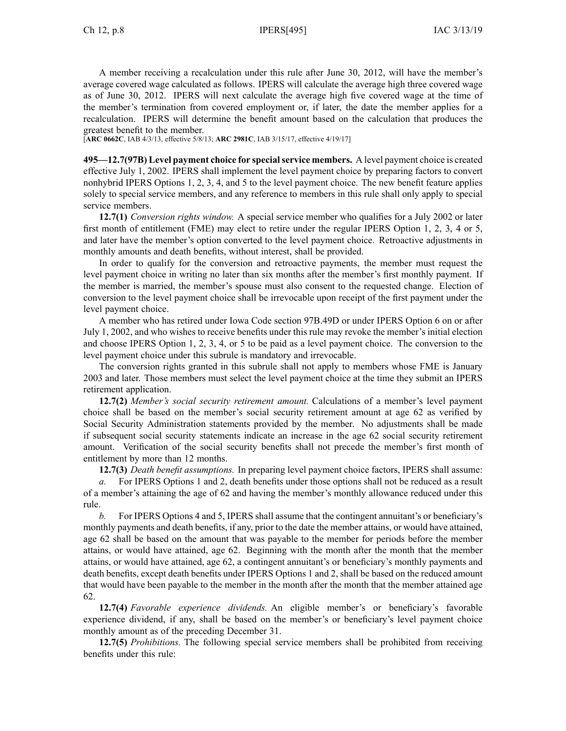A member receiving <sup>a</sup> recalculation under this rule after June 30, 2012, will have the member's average covered wage calculated as follows. IPERS will calculate the average high three covered wage as of June 30, 2012. IPERS will next calculate the average high five covered wage at the time of the member's termination from covered employment or, if later, the date the member applies for <sup>a</sup> recalculation. IPERS will determine the benefit amount based on the calculation that produces the greatest benefit to the member.

[**ARC [0662C](https://www.legis.iowa.gov/docs/aco/arc/0662C.pdf)**, IAB 4/3/13, effective 5/8/13; **ARC [2981C](https://www.legis.iowa.gov/docs/aco/arc/2981C.pdf)**, IAB 3/15/17, effective 4/19/17]

**495—12.7(97B) Level paymen<sup>t</sup> choice for specialservice members.** A level paymen<sup>t</sup> choice is created effective July 1, 2002. IPERS shall implement the level paymen<sup>t</sup> choice by preparing factors to convert nonhybrid IPERS Options 1, 2, 3, 4, and 5 to the level paymen<sup>t</sup> choice. The new benefit feature applies solely to special service members, and any reference to members in this rule shall only apply to special service members.

**12.7(1)** *Conversion rights window.* A special service member who qualifies for <sup>a</sup> July 2002 or later first month of entitlement (FME) may elect to retire under the regular IPERS Option 1, 2, 3, 4 or 5, and later have the member's option converted to the level paymen<sup>t</sup> choice. Retroactive adjustments in monthly amounts and death benefits, without interest, shall be provided.

In order to qualify for the conversion and retroactive payments, the member must reques<sup>t</sup> the level paymen<sup>t</sup> choice in writing no later than six months after the member's first monthly payment. If the member is married, the member's spouse must also consent to the requested change. Election of conversion to the level paymen<sup>t</sup> choice shall be irrevocable upon receipt of the first paymen<sup>t</sup> under the level paymen<sup>t</sup> choice.

A member who has retired under Iowa Code section [97B.49D](https://www.legis.iowa.gov/docs/ico/section/97B.49D.pdf) or under IPERS Option 6 on or after July 1, 2002, and who wishes to receive benefits under this rule may revoke the member's initial election and choose IPERS Option 1, 2, 3, 4, or 5 to be paid as <sup>a</sup> level paymen<sup>t</sup> choice. The conversion to the level paymen<sup>t</sup> choice under this subrule is mandatory and irrevocable.

The conversion rights granted in this subrule shall not apply to members whose FME is January 2003 and later. Those members must select the level paymen<sup>t</sup> choice at the time they submit an IPERS retirement application.

**12.7(2)** *Member's social security retirement amount.* Calculations of <sup>a</sup> member's level paymen<sup>t</sup> choice shall be based on the member's social security retirement amount at age 62 as verified by Social Security Administration statements provided by the member. No adjustments shall be made if subsequent social security statements indicate an increase in the age 62 social security retirement amount. Verification of the social security benefits shall not precede the member's first month of entitlement by more than 12 months.

**12.7(3)** *Death benefit assumptions.* In preparing level paymen<sup>t</sup> choice factors, IPERS shall assume:

*a.* For IPERS Options 1 and 2, death benefits under those options shall not be reduced as <sup>a</sup> result of <sup>a</sup> member's attaining the age of 62 and having the member's monthly allowance reduced under this rule.

*b.* For IPERS Options 4 and 5, IPERS shall assume that the contingent annuitant's or beneficiary's monthly payments and death benefits, if any, prior to the date the member attains, or would have attained, age 62 shall be based on the amount that was payable to the member for periods before the member attains, or would have attained, age 62. Beginning with the month after the month that the member attains, or would have attained, age 62, <sup>a</sup> contingent annuitant's or beneficiary's monthly payments and death benefits, excep<sup>t</sup> death benefits under IPERS Options 1 and 2, shall be based on the reduced amount that would have been payable to the member in the month after the month that the member attained age 62.

**12.7(4)** *Favorable experience dividends.* An eligible member's or beneficiary's favorable experience dividend, if any, shall be based on the member's or beneficiary's level paymen<sup>t</sup> choice monthly amount as of the preceding December 31.

**12.7(5)** *Prohibitions.* The following special service members shall be prohibited from receiving benefits under this rule: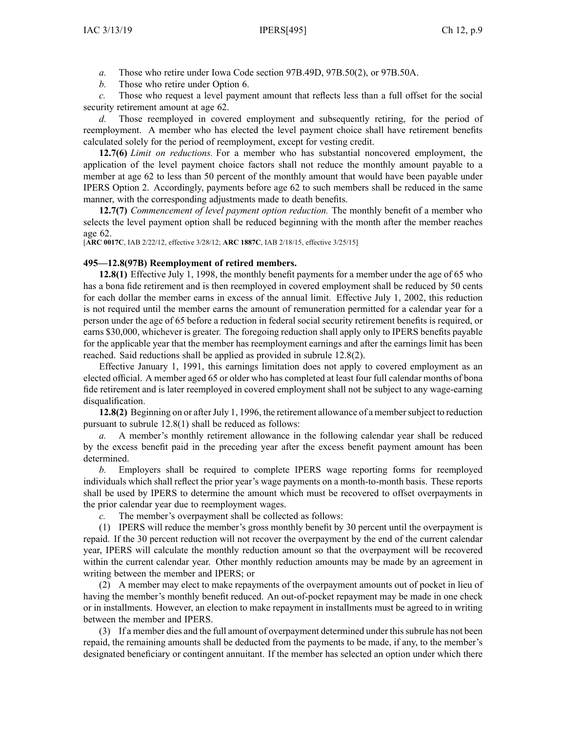- *a.* Those who retire under Iowa Code section [97B.49D](https://www.legis.iowa.gov/docs/ico/section/97B.49D.pdf), [97B.50\(2\)](https://www.legis.iowa.gov/docs/ico/section/97B.50.pdf), or [97B.50A](https://www.legis.iowa.gov/docs/ico/section/97B.50A.pdf).
- *b.* Those who retire under Option 6.

*c.* Those who reques<sup>t</sup> <sup>a</sup> level paymen<sup>t</sup> amount that reflects less than <sup>a</sup> full offset for the social security retirement amount at age 62.

*d.* Those reemployed in covered employment and subsequently retiring, for the period of reemployment. A member who has elected the level paymen<sup>t</sup> choice shall have retirement benefits calculated solely for the period of reemployment, excep<sup>t</sup> for vesting credit.

**12.7(6)** *Limit on reductions.* For <sup>a</sup> member who has substantial noncovered employment, the application of the level paymen<sup>t</sup> choice factors shall not reduce the monthly amount payable to <sup>a</sup> member at age 62 to less than 50 percen<sup>t</sup> of the monthly amount that would have been payable under IPERS Option 2. Accordingly, payments before age 62 to such members shall be reduced in the same manner, with the corresponding adjustments made to death benefits.

**12.7(7)** *Commencement of level paymen<sup>t</sup> option reduction.* The monthly benefit of <sup>a</sup> member who selects the level paymen<sup>t</sup> option shall be reduced beginning with the month after the member reaches age 62.

[**ARC [0017C](https://www.legis.iowa.gov/docs/aco/arc/0017C.pdf)**, IAB 2/22/12, effective 3/28/12; **ARC [1887C](https://www.legis.iowa.gov/docs/aco/arc/1887C.pdf)**, IAB 2/18/15, effective 3/25/15]

#### **495—12.8(97B) Reemployment of retired members.**

**12.8(1)** Effective July 1, 1998, the monthly benefit payments for <sup>a</sup> member under the age of 65 who has <sup>a</sup> bona fide retirement and is then reemployed in covered employment shall be reduced by 50 cents for each dollar the member earns in excess of the annual limit. Effective July 1, 2002, this reduction is not required until the member earns the amount of remuneration permitted for <sup>a</sup> calendar year for <sup>a</sup> person under the age of 65 before <sup>a</sup> reduction in federal social security retirement benefits is required, or earns \$30,000, whichever is greater. The foregoing reduction shall apply only to IPERS benefits payable for the applicable year that the member has reemployment earnings and after the earnings limit has been reached. Said reductions shall be applied as provided in subrule [12.8\(2\)](https://www.legis.iowa.gov/docs/iac/rule/495.12.8.pdf).

Effective January 1, 1991, this earnings limitation does not apply to covered employment as an elected official. A member aged 65 or older who has completed at least four full calendar months of bona fide retirement and is later reemployed in covered employment shall not be subject to any wage-earning disqualification.

**12.8(2)** Beginning on or after July 1, 1996, the retirement allowance of a member subject to reduction pursuan<sup>t</sup> to subrule [12.8\(1\)](https://www.legis.iowa.gov/docs/iac/rule/495.12.8.pdf) shall be reduced as follows:

*a.* A member's monthly retirement allowance in the following calendar year shall be reduced by the excess benefit paid in the preceding year after the excess benefit paymen<sup>t</sup> amount has been determined.

*b.* Employers shall be required to complete IPERS wage reporting forms for reemployed individuals which shall reflect the prior year's wage payments on <sup>a</sup> month-to-month basis. These reports shall be used by IPERS to determine the amount which must be recovered to offset overpayments in the prior calendar year due to reemployment wages.

*c.* The member's overpaymen<sup>t</sup> shall be collected as follows:

(1) IPERS will reduce the member's gross monthly benefit by 30 percen<sup>t</sup> until the overpaymen<sup>t</sup> is repaid. If the 30 percen<sup>t</sup> reduction will not recover the overpaymen<sup>t</sup> by the end of the current calendar year, IPERS will calculate the monthly reduction amount so that the overpaymen<sup>t</sup> will be recovered within the current calendar year. Other monthly reduction amounts may be made by an agreemen<sup>t</sup> in writing between the member and IPERS; or

(2) A member may elect to make repayments of the overpaymen<sup>t</sup> amounts out of pocket in lieu of having the member's monthly benefit reduced. An out-of-pocket repaymen<sup>t</sup> may be made in one check or in installments. However, an election to make repaymen<sup>t</sup> in installments must be agreed to in writing between the member and IPERS.

(3) If <sup>a</sup> member dies and the full amount of overpaymen<sup>t</sup> determined under thissubrule has not been repaid, the remaining amounts shall be deducted from the payments to be made, if any, to the member's designated beneficiary or contingent annuitant. If the member has selected an option under which there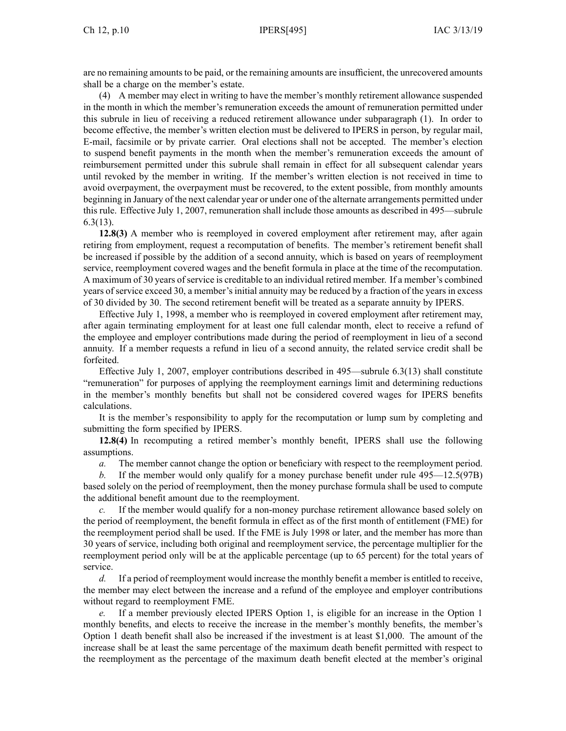are no remaining amounts to be paid, or the remaining amounts are insufficient, the unrecovered amounts shall be <sup>a</sup> charge on the member's estate.

(4) A member may elect in writing to have the member's monthly retirement allowance suspended in the month in which the member's remuneration exceeds the amount of remuneration permitted under this subrule in lieu of receiving <sup>a</sup> reduced retirement allowance under subparagraph (1). In order to become effective, the member's written election must be delivered to IPERS in person, by regular mail, E-mail, facsimile or by private carrier. Oral elections shall not be accepted. The member's election to suspend benefit payments in the month when the member's remuneration exceeds the amount of reimbursement permitted under this subrule shall remain in effect for all subsequent calendar years until revoked by the member in writing. If the member's written election is not received in time to avoid overpayment, the overpaymen<sup>t</sup> must be recovered, to the extent possible, from monthly amounts beginning in January of the next calendar year or under one of the alternate arrangements permitted under this rule. Effective July 1, 2007, remuneration shall include those amounts as described in [495—subrule](https://www.legis.iowa.gov/docs/iac/rule/495.6.3.pdf) [6.3\(13\)](https://www.legis.iowa.gov/docs/iac/rule/495.6.3.pdf).

**12.8(3)** A member who is reemployed in covered employment after retirement may, after again retiring from employment, reques<sup>t</sup> <sup>a</sup> recomputation of benefits. The member's retirement benefit shall be increased if possible by the addition of <sup>a</sup> second annuity, which is based on years of reemployment service, reemployment covered wages and the benefit formula in place at the time of the recomputation. A maximum of 30 years ofservice is creditable to an individual retired member. If <sup>a</sup> member's combined years of service exceed 30, <sup>a</sup> member's initial annuity may be reduced by <sup>a</sup> fraction of the years in excess of 30 divided by 30. The second retirement benefit will be treated as <sup>a</sup> separate annuity by IPERS.

Effective July 1, 1998, <sup>a</sup> member who is reemployed in covered employment after retirement may, after again terminating employment for at least one full calendar month, elect to receive <sup>a</sup> refund of the employee and employer contributions made during the period of reemployment in lieu of <sup>a</sup> second annuity. If <sup>a</sup> member requests <sup>a</sup> refund in lieu of <sup>a</sup> second annuity, the related service credit shall be forfeited.

Effective July 1, 2007, employer contributions described in [495—subrule](https://www.legis.iowa.gov/docs/iac/rule/495.6.3.pdf) 6.3(13) shall constitute "remuneration" for purposes of applying the reemployment earnings limit and determining reductions in the member's monthly benefits but shall not be considered covered wages for IPERS benefits calculations.

It is the member's responsibility to apply for the recomputation or lump sum by completing and submitting the form specified by IPERS.

**12.8(4)** In recomputing <sup>a</sup> retired member's monthly benefit, IPERS shall use the following assumptions.

*a.* The member cannot change the option or beneficiary with respec<sup>t</sup> to the reemployment period.

*b.* If the member would only qualify for <sup>a</sup> money purchase benefit under rule [495—12.5](https://www.legis.iowa.gov/docs/iac/rule/495.12.5.pdf)(97B) based solely on the period of reemployment, then the money purchase formula shall be used to compute the additional benefit amount due to the reemployment.

*c.* If the member would qualify for <sup>a</sup> non-money purchase retirement allowance based solely on the period of reemployment, the benefit formula in effect as of the first month of entitlement (FME) for the reemployment period shall be used. If the FME is July 1998 or later, and the member has more than 30 years of service, including both original and reemployment service, the percentage multiplier for the reemployment period only will be at the applicable percentage (up to 65 percent) for the total years of service.

*d.* If <sup>a</sup> period of reemployment would increase the monthly benefit <sup>a</sup> member is entitled to receive, the member may elect between the increase and <sup>a</sup> refund of the employee and employer contributions without regard to reemployment FME.

*e.* If <sup>a</sup> member previously elected IPERS Option 1, is eligible for an increase in the Option 1 monthly benefits, and elects to receive the increase in the member's monthly benefits, the member's Option 1 death benefit shall also be increased if the investment is at least \$1,000. The amount of the increase shall be at least the same percentage of the maximum death benefit permitted with respec<sup>t</sup> to the reemployment as the percentage of the maximum death benefit elected at the member's original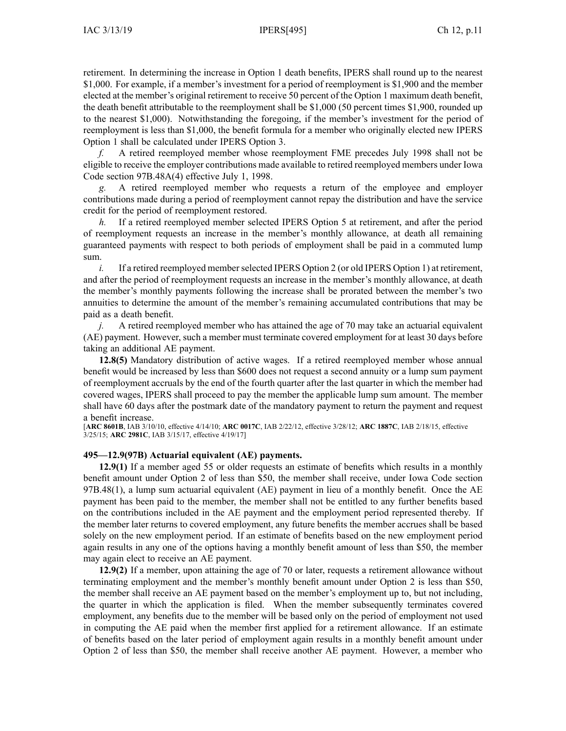retirement. In determining the increase in Option 1 death benefits, IPERS shall round up to the nearest \$1,000. For example, if <sup>a</sup> member's investment for <sup>a</sup> period of reemployment is \$1,900 and the member elected at the member's original retirement to receive 50 percen<sup>t</sup> of the Option 1 maximum death benefit, the death benefit attributable to the reemployment shall be \$1,000 (50 percen<sup>t</sup> times \$1,900, rounded up to the nearest \$1,000). Notwithstanding the foregoing, if the member's investment for the period of reemployment is less than \$1,000, the benefit formula for <sup>a</sup> member who originally elected new IPERS Option 1 shall be calculated under IPERS Option 3.

*f.* A retired reemployed member whose reemployment FME precedes July 1998 shall not be eligible to receive the employer contributions made available to retired reemployed members under Iowa Code section [97B.48A\(4\)](https://www.legis.iowa.gov/docs/ico/section/97B.48A.pdf) effective July 1, 1998.

*g.* A retired reemployed member who requests <sup>a</sup> return of the employee and employer contributions made during <sup>a</sup> period of reemployment cannot repay the distribution and have the service credit for the period of reemployment restored.

*h.* If a retired reemployed member selected IPERS Option 5 at retirement, and after the period of reemployment requests an increase in the member's monthly allowance, at death all remaining guaranteed payments with respec<sup>t</sup> to both periods of employment shall be paid in <sup>a</sup> commuted lump sum.

*i.* If a retired reemployed member selected IPERS Option 2 (or old IPERS Option 1) at retirement, and after the period of reemployment requests an increase in the member's monthly allowance, at death the member's monthly payments following the increase shall be prorated between the member's two annuities to determine the amount of the member's remaining accumulated contributions that may be paid as <sup>a</sup> death benefit.

*j.* A retired reemployed member who has attained the age of 70 may take an actuarial equivalent (AE) payment. However, such <sup>a</sup> member must terminate covered employment for at least 30 days before taking an additional AE payment.

**12.8(5)** Mandatory distribution of active wages. If <sup>a</sup> retired reemployed member whose annual benefit would be increased by less than \$600 does not reques<sup>t</sup> <sup>a</sup> second annuity or <sup>a</sup> lump sum paymen<sup>t</sup> of reemployment accruals by the end of the fourth quarter after the last quarter in which the member had covered wages, IPERS shall proceed to pay the member the applicable lump sum amount. The member shall have 60 days after the postmark date of the mandatory paymen<sup>t</sup> to return the paymen<sup>t</sup> and reques<sup>t</sup> <sup>a</sup> benefit increase.

[**ARC [8601B](https://www.legis.iowa.gov/docs/aco/arc/8601B.pdf)**, IAB 3/10/10, effective 4/14/10; **ARC [0017C](https://www.legis.iowa.gov/docs/aco/arc/0017C.pdf)**, IAB 2/22/12, effective 3/28/12; **ARC [1887C](https://www.legis.iowa.gov/docs/aco/arc/1887C.pdf)**, IAB 2/18/15, effective 3/25/15; **ARC [2981C](https://www.legis.iowa.gov/docs/aco/arc/2981C.pdf)**, IAB 3/15/17, effective 4/19/17]

### **495—12.9(97B) Actuarial equivalent (AE) payments.**

**12.9(1)** If <sup>a</sup> member aged 55 or older requests an estimate of benefits which results in <sup>a</sup> monthly benefit amount under Option 2 of less than \$50, the member shall receive, under Iowa Code section [97B.48\(1\)](https://www.legis.iowa.gov/docs/ico/section/97B.48.pdf), <sup>a</sup> lump sum actuarial equivalent (AE) paymen<sup>t</sup> in lieu of <sup>a</sup> monthly benefit. Once the AE paymen<sup>t</sup> has been paid to the member, the member shall not be entitled to any further benefits based on the contributions included in the AE paymen<sup>t</sup> and the employment period represented thereby. If the member later returns to covered employment, any future benefits the member accrues shall be based solely on the new employment period. If an estimate of benefits based on the new employment period again results in any one of the options having <sup>a</sup> monthly benefit amount of less than \$50, the member may again elect to receive an AE payment.

**12.9(2)** If <sup>a</sup> member, upon attaining the age of 70 or later, requests <sup>a</sup> retirement allowance without terminating employment and the member's monthly benefit amount under Option 2 is less than \$50, the member shall receive an AE paymen<sup>t</sup> based on the member's employment up to, but not including, the quarter in which the application is filed. When the member subsequently terminates covered employment, any benefits due to the member will be based only on the period of employment not used in computing the AE paid when the member first applied for <sup>a</sup> retirement allowance. If an estimate of benefits based on the later period of employment again results in <sup>a</sup> monthly benefit amount under Option 2 of less than \$50, the member shall receive another AE payment. However, <sup>a</sup> member who